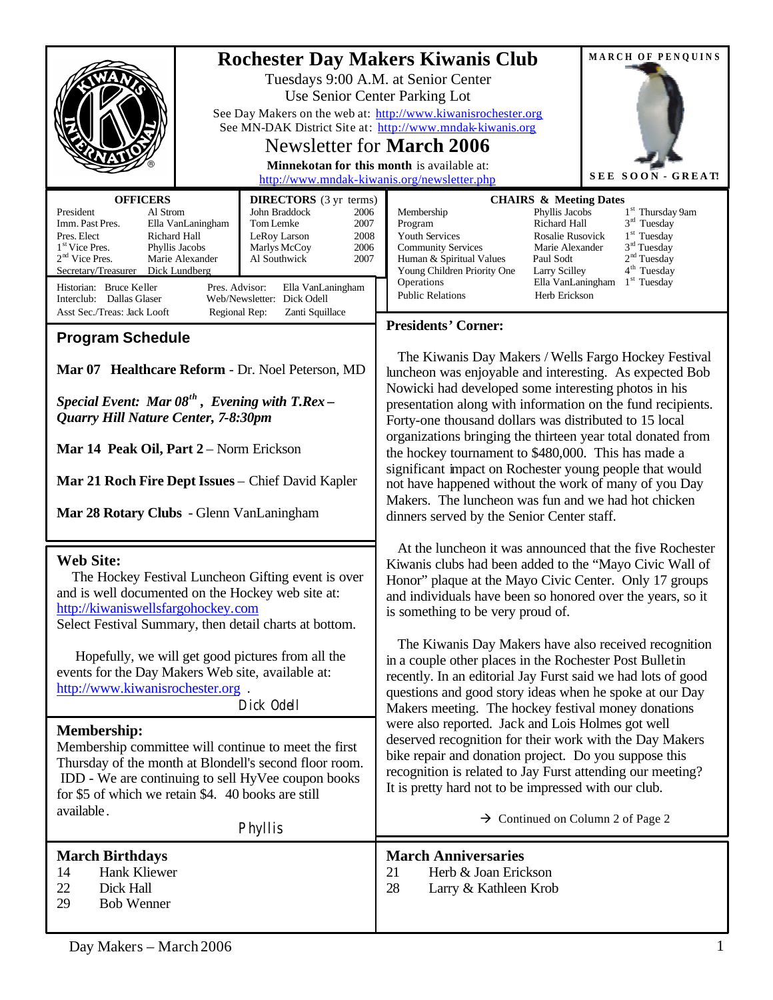| <b>OFFICERS</b>                                                                                                                                                                                                                                                                                                                               |  |                                                                                                                                                                                                           | <b>Rochester Day Makers Kiwanis Club</b><br>Tuesdays 9:00 A.M. at Senior Center<br>Use Senior Center Parking Lot<br>See Day Makers on the web at: http://www.kiwanisrochester.org<br>See MN-DAK District Site at: http://www.mndak-kiwanis.org<br><b>Newsletter for March 2006</b><br>Minnekotan for this month is available at:<br>http://www.mndak-kiwanis.org/newsletter.php<br><b>DIRECTORS</b> (3 yr terms)<br><b>CHAIRS &amp; Meeting Dates</b>                                                                                                                                                                                           |                                                              | MARCH OF PENQUINS<br><b>SEE SOON - GREAT!</b>                                                                                                                                                                                       |  |
|-----------------------------------------------------------------------------------------------------------------------------------------------------------------------------------------------------------------------------------------------------------------------------------------------------------------------------------------------|--|-----------------------------------------------------------------------------------------------------------------------------------------------------------------------------------------------------------|-------------------------------------------------------------------------------------------------------------------------------------------------------------------------------------------------------------------------------------------------------------------------------------------------------------------------------------------------------------------------------------------------------------------------------------------------------------------------------------------------------------------------------------------------------------------------------------------------------------------------------------------------|--------------------------------------------------------------|-------------------------------------------------------------------------------------------------------------------------------------------------------------------------------------------------------------------------------------|--|
| Al Strom<br>President<br>Imm. Past Pres.<br>Ella VanLaningham<br>Pres. Elect<br>Richard Hall<br>1 <sup>st</sup> Vice Pres.<br>Phyllis Jacobs<br>2 <sup>nd</sup> Vice Pres.<br>Marie Alexander<br>Secretary/Treasurer<br>Dick Lundberg<br>Historian: Bruce Keller<br>Pres. Advisor:<br>Interclub: Dallas Glaser<br>Asst Sec./Treas: Jack Looft |  | John Braddock<br>2006<br>2007<br>Tom Lemke<br>2008<br>LeRoy Larson<br>Marlys McCoy<br>2006<br>Al Southwick<br>2007<br>Ella VanLaningham<br>Web/Newsletter: Dick Odell<br>Zanti Squillace<br>Regional Rep: | Membership<br>Program<br>Youth Services<br><b>Community Services</b><br>Human & Spiritual Values<br>Young Children Priority One<br>Operations<br><b>Public Relations</b>                                                                                                                                                                                                                                                                                                                                                                                                                                                                        | Phyllis Jacobs<br>Richard Hall<br>Paul Sodt<br>Larry Scilley | 1 <sup>st</sup> Thursday 9am<br>$3rd$ Tuesday<br>$1st$ Tuesday<br>Rosalie Rusovick<br>$3rd$ Tuesday<br>Marie Alexander<br>2 <sup>nd</sup> Tuesday<br>4 <sup>th</sup> Tuesday<br>$1st$ Tuesday<br>Ella VanLaningham<br>Herb Erickson |  |
| <b>Program Schedule</b>                                                                                                                                                                                                                                                                                                                       |  |                                                                                                                                                                                                           | <b>Presidents' Corner:</b>                                                                                                                                                                                                                                                                                                                                                                                                                                                                                                                                                                                                                      |                                                              |                                                                                                                                                                                                                                     |  |
| Mar 07 Healthcare Reform - Dr. Noel Peterson, MD<br>Special Event: Mar $08^{th}$ , Evening with T.Rex -<br>Quarry Hill Nature Center, 7-8:30pm<br>Mar 14 Peak Oil, Part 2 – Norm Erickson<br>Mar 21 Roch Fire Dept Issues - Chief David Kapler<br>Mar 28 Rotary Clubs - Glenn VanLaningham                                                    |  |                                                                                                                                                                                                           | The Kiwanis Day Makers / Wells Fargo Hockey Festival<br>luncheon was enjoyable and interesting. As expected Bob<br>Nowicki had developed some interesting photos in his<br>presentation along with information on the fund recipients.<br>Forty-one thousand dollars was distributed to 15 local<br>organizations bringing the thirteen year total donated from<br>the hockey tournament to \$480,000. This has made a<br>significant impact on Rochester young people that would<br>not have happened without the work of many of you Day<br>Makers. The luncheon was fun and we had hot chicken<br>dinners served by the Senior Center staff. |                                                              |                                                                                                                                                                                                                                     |  |
| <b>Web Site:</b><br>The Hockey Festival Luncheon Gifting event is over<br>and is well documented on the Hockey web site at:<br>http://kiwaniswellsfargohockey.com<br>Select Festival Summary, then detail charts at bottom.<br>Hopefully, we will get good pictures from all the                                                              |  |                                                                                                                                                                                                           | At the luncheon it was announced that the five Rochester<br>Kiwanis clubs had been added to the "Mayo Civic Wall of<br>Honor" plaque at the Mayo Civic Center. Only 17 groups<br>and individuals have been so honored over the years, so it<br>is something to be very proud of.<br>The Kiwanis Day Makers have also received recognition<br>in a couple other places in the Rochester Post Bulletin                                                                                                                                                                                                                                            |                                                              |                                                                                                                                                                                                                                     |  |
| events for the Day Makers Web site, available at:<br>http://www.kiwanisrochester.org.                                                                                                                                                                                                                                                         |  |                                                                                                                                                                                                           | recently. In an editorial Jay Furst said we had lots of good<br>questions and good story ideas when he spoke at our Day<br>Makers meeting. The hockey festival money donations<br>were also reported. Jack and Lois Holmes got well<br>deserved recognition for their work with the Day Makers<br>bike repair and donation project. Do you suppose this<br>recognition is related to Jay Furst attending our meeting?<br>It is pretty hard not to be impressed with our club.<br>$\rightarrow$ Continued on Column 2 of Page 2                                                                                                                  |                                                              |                                                                                                                                                                                                                                     |  |
| Dick Odell<br><b>Membership:</b><br>Membership committee will continue to meet the first<br>Thursday of the month at Blondell's second floor room.<br>IDD - We are continuing to sell HyVee coupon books<br>for \$5 of which we retain \$4. 40 books are still<br>available.<br>Phyllis                                                       |  |                                                                                                                                                                                                           |                                                                                                                                                                                                                                                                                                                                                                                                                                                                                                                                                                                                                                                 |                                                              |                                                                                                                                                                                                                                     |  |
| <b>March Birthdays</b><br>Hank Kliewer<br>14<br>22<br>Dick Hall<br><b>Bob Wenner</b><br>29                                                                                                                                                                                                                                                    |  |                                                                                                                                                                                                           | <b>March Anniversaries</b><br>Herb & Joan Erickson<br>21<br>28<br>Larry & Kathleen Krob                                                                                                                                                                                                                                                                                                                                                                                                                                                                                                                                                         |                                                              |                                                                                                                                                                                                                                     |  |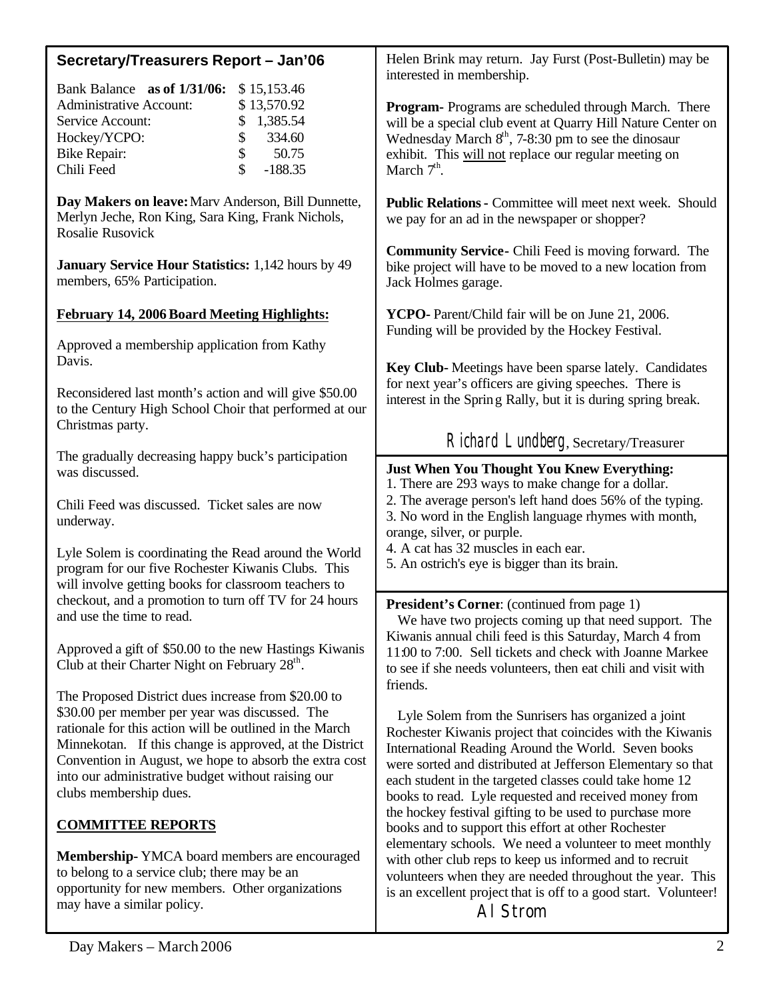| Secretary/Treasurers Report - Jan'06                                                                                                                                                                                                                                                                                                                                  | Helen Brink may return. Jay Furst (Post-Bulletin) may be<br>interested in membership.                                                                                                                                                                                                                                                                                                                                 |  |  |
|-----------------------------------------------------------------------------------------------------------------------------------------------------------------------------------------------------------------------------------------------------------------------------------------------------------------------------------------------------------------------|-----------------------------------------------------------------------------------------------------------------------------------------------------------------------------------------------------------------------------------------------------------------------------------------------------------------------------------------------------------------------------------------------------------------------|--|--|
| Bank Balance as of 1/31/06:<br>\$15,153.46<br><b>Administrative Account:</b><br>\$13,570.92<br>1,385.54<br>Service Account:<br>\$<br>\$<br>334.60<br>Hockey/YCPO:<br>\$<br><b>Bike Repair:</b><br>50.75<br>\$<br>Chili Feed<br>$-188.35$                                                                                                                              | Program- Programs are scheduled through March. There<br>will be a special club event at Quarry Hill Nature Center on<br>Wednesday March $8th$ , 7-8:30 pm to see the dinosaur<br>exhibit. This will not replace our regular meeting on<br>March $7th$ .                                                                                                                                                               |  |  |
| Day Makers on leave: Marv Anderson, Bill Dunnette,<br>Merlyn Jeche, Ron King, Sara King, Frank Nichols,<br>Rosalie Rusovick                                                                                                                                                                                                                                           | <b>Public Relations - Committee will meet next week. Should</b><br>we pay for an ad in the newspaper or shopper?                                                                                                                                                                                                                                                                                                      |  |  |
| <b>January Service Hour Statistics: 1,142 hours by 49</b><br>members, 65% Participation.                                                                                                                                                                                                                                                                              | <b>Community Service-</b> Chili Feed is moving forward. The<br>bike project will have to be moved to a new location from<br>Jack Holmes garage.                                                                                                                                                                                                                                                                       |  |  |
| <b>February 14, 2006 Board Meeting Highlights:</b>                                                                                                                                                                                                                                                                                                                    | YCPO- Parent/Child fair will be on June 21, 2006.<br>Funding will be provided by the Hockey Festival.                                                                                                                                                                                                                                                                                                                 |  |  |
| Approved a membership application from Kathy<br>Davis.<br>Reconsidered last month's action and will give \$50.00<br>to the Century High School Choir that performed at our                                                                                                                                                                                            | Key Club-Meetings have been sparse lately. Candidates<br>for next year's officers are giving speeches. There is<br>interest in the Spring Rally, but it is during spring break.                                                                                                                                                                                                                                       |  |  |
| Christmas party.                                                                                                                                                                                                                                                                                                                                                      | Richard Lundberg, Secretary/Treasurer                                                                                                                                                                                                                                                                                                                                                                                 |  |  |
| The gradually decreasing happy buck's participation<br>was discussed.<br>Chili Feed was discussed. Ticket sales are now<br>underway.<br>Lyle Solem is coordinating the Read around the World                                                                                                                                                                          | <b>Just When You Thought You Knew Everything:</b><br>1. There are 293 ways to make change for a dollar.<br>2. The average person's left hand does 56% of the typing.<br>3. No word in the English language rhymes with month,<br>orange, silver, or purple.<br>4. A cat has 32 muscles in each ear.<br>5. An ostrich's eye is bigger than its brain.                                                                  |  |  |
| program for our five Rochester Kiwanis Clubs. This<br>will involve getting books for classroom teachers to<br>checkout, and a promotion to turn off TV for 24 hours<br>and use the time to read.<br>Approved a gift of \$50.00 to the new Hastings Kiwanis<br>Club at their Charter Night on February 28 <sup>th</sup> .                                              | <b>President's Corner:</b> (continued from page 1)<br>We have two projects coming up that need support. The<br>Kiwanis annual chili feed is this Saturday, March 4 from<br>11:00 to 7:00. Sell tickets and check with Joanne Markee<br>to see if she needs volunteers, then eat chili and visit with<br>friends.                                                                                                      |  |  |
| The Proposed District dues increase from \$20.00 to<br>\$30.00 per member per year was discussed. The<br>rationale for this action will be outlined in the March<br>Minnekotan. If this change is approved, at the District<br>Convention in August, we hope to absorb the extra cost<br>into our administrative budget without raising our<br>clubs membership dues. | Lyle Solem from the Sunrisers has organized a joint<br>Rochester Kiwanis project that coincides with the Kiwanis<br>International Reading Around the World. Seven books<br>were sorted and distributed at Jefferson Elementary so that<br>each student in the targeted classes could take home 12<br>books to read. Lyle requested and received money from<br>the hockey festival gifting to be used to purchase more |  |  |
| <b>COMMITTEE REPORTS</b>                                                                                                                                                                                                                                                                                                                                              | books and to support this effort at other Rochester<br>elementary schools. We need a volunteer to meet monthly                                                                                                                                                                                                                                                                                                        |  |  |
| <b>Membership-YMCA</b> board members are encouraged<br>to belong to a service club; there may be an<br>opportunity for new members. Other organizations<br>may have a similar policy.                                                                                                                                                                                 | with other club reps to keep us informed and to recruit<br>volunteers when they are needed throughout the year. This<br>is an excellent project that is off to a good start. Volunteer!<br>AI Strom                                                                                                                                                                                                                   |  |  |